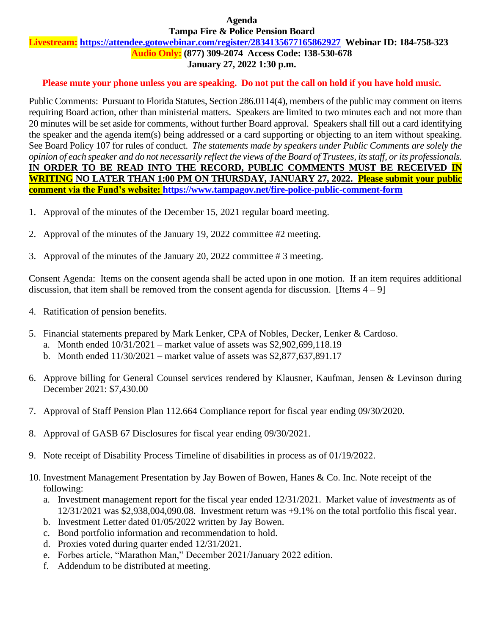#### **Agenda Tampa Fire & Police Pension Board**

# **Livestream: <https://attendee.gotowebinar.com/register/2834135677165862927>Webinar ID: 184-758-323**

**Audio Only: (877) 309-2074 Access Code: 138-530-678**

# **January 27, 2022 1:30 p.m.**

### **Please mute your phone unless you are speaking. Do not put the call on hold if you have hold music.**

Public Comments: Pursuant to Florida Statutes, Section 286.0114(4), members of the public may comment on items requiring Board action, other than ministerial matters. Speakers are limited to two minutes each and not more than 20 minutes will be set aside for comments, without further Board approval. Speakers shall fill out a card identifying the speaker and the agenda item(s) being addressed or a card supporting or objecting to an item without speaking. See Board Policy 107 for rules of conduct. *The statements made by speakers under Public Comments are solely the opinion of each speaker and do not necessarily reflect the views of the Board of Trustees, its staff, or its professionals.* **IN ORDER TO BE READ INTO THE RECORD, PUBLIC COMMENTS MUST BE RECEIVED IN WRITING NO LATER THAN 1:00 PM ON THURSDAY, JANUARY 27, 2022. Please submit your public comment via the Fund's website:<https://www.tampagov.net/fire-police-public-comment-form>**

- 1. Approval of the minutes of the December 15, 2021 regular board meeting.
- 2. Approval of the minutes of the January 19, 2022 committee #2 meeting.
- 3. Approval of the minutes of the January 20, 2022 committee # 3 meeting.

Consent Agenda: Items on the consent agenda shall be acted upon in one motion. If an item requires additional discussion, that item shall be removed from the consent agenda for discussion. [Items  $4 - 9$ ]

- 4. Ratification of pension benefits.
- 5. Financial statements prepared by Mark Lenker, CPA of Nobles, Decker, Lenker & Cardoso.
	- a. Month ended 10/31/2021 market value of assets was \$2,902,699,118.19
	- b. Month ended 11/30/2021 market value of assets was \$2,877,637,891.17
- 6. Approve billing for General Counsel services rendered by Klausner, Kaufman, Jensen & Levinson during December 2021: \$7,430.00
- 7. Approval of Staff Pension Plan 112.664 Compliance report for fiscal year ending 09/30/2020.
- 8. Approval of GASB 67 Disclosures for fiscal year ending 09/30/2021.
- 9. Note receipt of Disability Process Timeline of disabilities in process as of 01/19/2022.
- 10. Investment Management Presentation by Jay Bowen of Bowen, Hanes & Co. Inc. Note receipt of the following:
	- a. Investment management report for the fiscal year ended 12/31/2021. Market value of *investments* as of 12/31/2021 was \$2,938,004,090.08. Investment return was +9.1% on the total portfolio this fiscal year.
	- b. Investment Letter dated 01/05/2022 written by Jay Bowen.
	- c. Bond portfolio information and recommendation to hold.
	- d. Proxies voted during quarter ended 12/31/2021.
	- e. Forbes article, "Marathon Man," December 2021/January 2022 edition.
	- f. Addendum to be distributed at meeting.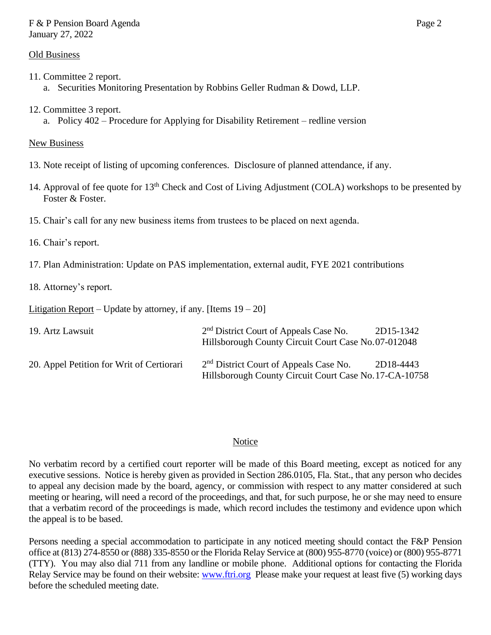### F & P Pension Board Agenda Page 2 January 27, 2022

### Old Business

- 11. Committee 2 report. a. Securities Monitoring Presentation by Robbins Geller Rudman & Dowd, LLP.
- 12. Committee 3 report.
	- a. Policy 402 Procedure for Applying for Disability Retirement redline version

# New Business

- 13. Note receipt of listing of upcoming conferences. Disclosure of planned attendance, if any.
- 14. Approval of fee quote for 13<sup>th</sup> Check and Cost of Living Adjustment (COLA) workshops to be presented by Foster & Foster.
- 15. Chair's call for any new business items from trustees to be placed on next agenda.
- 16. Chair's report.
- 17. Plan Administration: Update on PAS implementation, external audit, FYE 2021 contributions
- 18. Attorney's report.

Litigation Report – Update by attorney, if any. [Items  $19 - 20$ ]

| 19. Artz Lawsuit                          | 2 <sup>nd</sup> District Court of Appeals Case No.<br>Hillsborough County Circuit Court Case No.07-012048    | 2D15-1342 |
|-------------------------------------------|--------------------------------------------------------------------------------------------------------------|-----------|
| 20. Appel Petition for Writ of Certiorari | 2 <sup>nd</sup> District Court of Appeals Case No.<br>Hillsborough County Circuit Court Case No. 17-CA-10758 | 2D18-4443 |

### **Notice**

No verbatim record by a certified court reporter will be made of this Board meeting, except as noticed for any executive sessions. Notice is hereby given as provided in Section 286.0105, Fla. Stat., that any person who decides to appeal any decision made by the board, agency, or commission with respect to any matter considered at such meeting or hearing, will need a record of the proceedings, and that, for such purpose, he or she may need to ensure that a verbatim record of the proceedings is made, which record includes the testimony and evidence upon which the appeal is to be based.

Persons needing a special accommodation to participate in any noticed meeting should contact the F&P Pension office at (813) 274-8550 or (888) 335-8550 or the Florida Relay Service at (800) 955-8770 (voice) or (800) 955-8771 (TTY). You may also dial 711 from any landline or mobile phone. Additional options for contacting the Florida Relay Service may be found on their website: [www.ftri.org](http://www.ftri.org/) Please make your request at least five (5) working days before the scheduled meeting date.